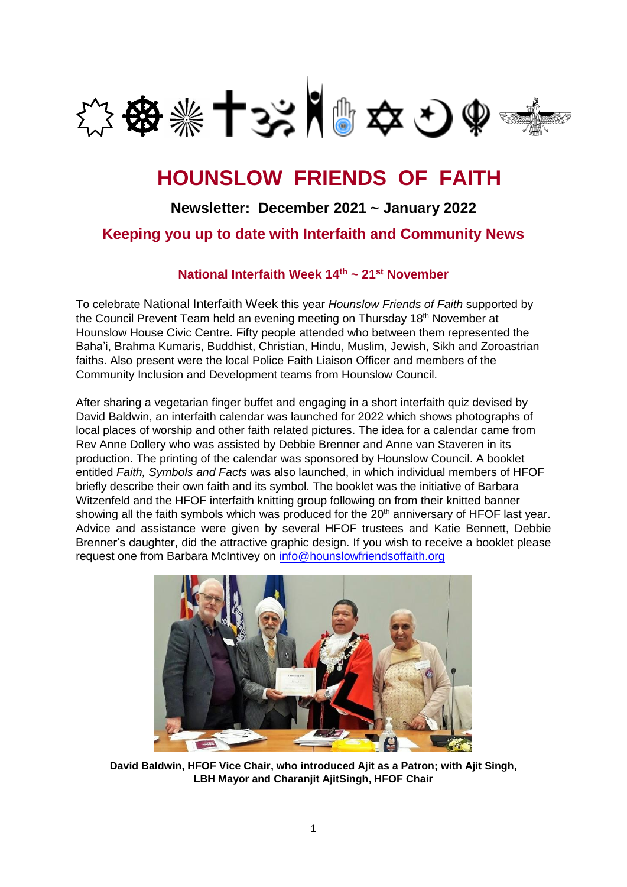

# **HOUNSLOW FRIENDS OF FAITH**

## **Newsletter: December 2021 ~ January 2022**

### **Keeping you up to date with Interfaith and Community News**

#### **National Interfaith Week 14th ~ 21st November**

To celebrate National Interfaith Week this year *Hounslow Friends of Faith* supported by the Council Prevent Team held an evening meeting on Thursday 18<sup>th</sup> November at Hounslow House Civic Centre. Fifty people attended who between them represented the Baha'i, Brahma Kumaris, Buddhist, Christian, Hindu, Muslim, Jewish, Sikh and Zoroastrian faiths. Also present were the local Police Faith Liaison Officer and members of the Community Inclusion and Development teams from Hounslow Council.

After sharing a vegetarian finger buffet and engaging in a short interfaith quiz devised by David Baldwin, an interfaith calendar was launched for 2022 which shows photographs of local places of worship and other faith related pictures. The idea for a calendar came from Rev Anne Dollery who was assisted by Debbie Brenner and Anne van Staveren in its production. The printing of the calendar was sponsored by Hounslow Council. A booklet entitled *Faith, Symbols and Facts* was also launched, in which individual members of HFOF briefly describe their own faith and its symbol. The booklet was the initiative of Barbara Witzenfeld and the HFOF interfaith knitting group following on from their knitted banner showing all the faith symbols which was produced for the 20<sup>th</sup> anniversary of HFOF last year. Advice and assistance were given by several HFOF trustees and Katie Bennett, Debbie Brenner's daughter, did the attractive graphic design. If you wish to receive a booklet please request one from Barbara McIntivey on [info@hounslowfriendsoffaith.org](mailto:info@hounslowfriendsoffaith.org)



**David Baldwin, HFOF Vice Chair, who introduced Ajit as a Patron; with Ajit Singh, LBH Mayor and Charanjit AjitSingh, HFOF Chair**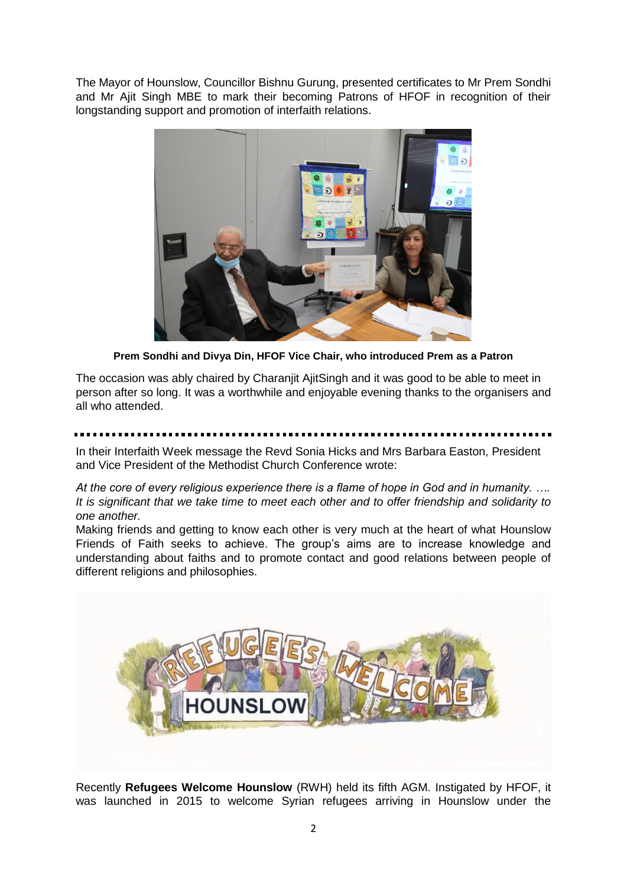The Mayor of Hounslow, Councillor Bishnu Gurung, presented certificates to Mr Prem Sondhi and Mr Ajit Singh MBE to mark their becoming Patrons of HFOF in recognition of their longstanding support and promotion of interfaith relations.



**Prem Sondhi and Divya Din, HFOF Vice Chair, who introduced Prem as a Patron**

The occasion was ably chaired by Charanjit AjitSingh and it was good to be able to meet in person after so long. It was a worthwhile and enjoyable evening thanks to the organisers and all who attended.

In their Interfaith Week message the Revd Sonia Hicks and Mrs Barbara Easton, President and Vice President of the Methodist Church Conference wrote:

*At the core of every religious experience there is a flame of hope in God and in humanity. …. It is significant that we take time to meet each other and to offer friendship and solidarity to one another.*

Making friends and getting to know each other is very much at the heart of what Hounslow Friends of Faith seeks to achieve. The group's aims are to increase knowledge and understanding about faiths and to promote contact and good relations between people of different religions and philosophies.



Recently **Refugees Welcome Hounslow** (RWH) held its fifth AGM. Instigated by HFOF, it was launched in 2015 to welcome Syrian refugees arriving in Hounslow under the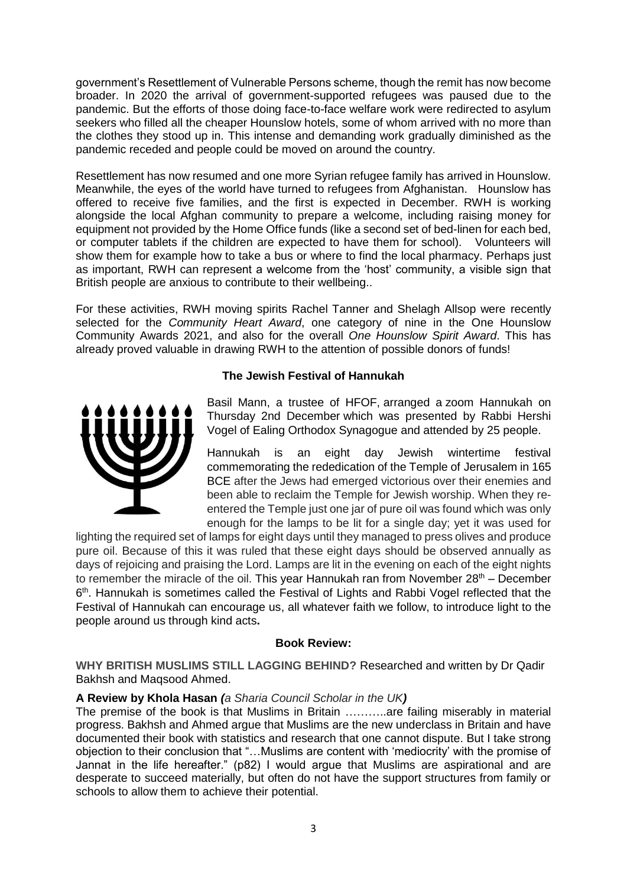government's Resettlement of Vulnerable Persons scheme, though the remit has now become broader. In 2020 the arrival of government-supported refugees was paused due to the pandemic. But the efforts of those doing face-to-face welfare work were redirected to asylum seekers who filled all the cheaper Hounslow hotels, some of whom arrived with no more than the clothes they stood up in. This intense and demanding work gradually diminished as the pandemic receded and people could be moved on around the country.

Resettlement has now resumed and one more Syrian refugee family has arrived in Hounslow. Meanwhile, the eyes of the world have turned to refugees from Afghanistan. Hounslow has offered to receive five families, and the first is expected in December. RWH is working alongside the local Afghan community to prepare a welcome, including raising money for equipment not provided by the Home Office funds (like a second set of bed-linen for each bed, or computer tablets if the children are expected to have them for school). Volunteers will show them for example how to take a bus or where to find the local pharmacy. Perhaps just as important, RWH can represent a welcome from the 'host' community, a visible sign that British people are anxious to contribute to their wellbeing..

For these activities, RWH moving spirits Rachel Tanner and Shelagh Allsop were recently selected for the *Community Heart Award*, one category of nine in the One Hounslow Community Awards 2021, and also for the overall *One Hounslow Spirit Award*. This has already proved valuable in drawing RWH to the attention of possible donors of funds!

#### **The Jewish Festival of Hannukah**



Basil Mann, a trustee of HFOF, arranged a zoom Hannukah on Thursday 2nd December which was presented by Rabbi Hershi Vogel of Ealing Orthodox Synagogue and attended by 25 people.

Hannukah is an eight day Jewish wintertime festival commemorating the rededication of the Temple of Jerusalem in 165 BCE after the Jews had emerged victorious over their enemies and been able to reclaim the Temple for Jewish worship. When they reentered the Temple just one jar of pure oil was found which was only enough for the lamps to be lit for a single day; yet it was used for

lighting the required set of lamps for eight days until they managed to press olives and produce pure oil. Because of this it was ruled that these eight days should be observed annually as days of rejoicing and praising the Lord. Lamps are lit in the evening on each of the eight nights to remember the miracle of the oil. This year Hannukah ran from November  $28<sup>th</sup>$  – December 6<sup>th</sup>. Hannukah is sometimes called the Festival of Lights and Rabbi Vogel reflected that the Festival of Hannukah can encourage us, all whatever faith we follow, to introduce light to the people around us through kind acts**.**

#### **Book Review:**

**WHY BRITISH MUSLIMS STILL LAGGING BEHIND?** Researched and written by Dr Qadir Bakhsh and Maqsood Ahmed.

#### **A Review by Khola Hasan** *(a Sharia Council Scholar in the UK)*

The premise of the book is that Muslims in Britain ………..are failing miserably in material progress. Bakhsh and Ahmed argue that Muslims are the new underclass in Britain and have documented their book with statistics and research that one cannot dispute. But I take strong objection to their conclusion that "…Muslims are content with 'mediocrity' with the promise of Jannat in the life hereafter." (p82) I would argue that Muslims are aspirational and are desperate to succeed materially, but often do not have the support structures from family or schools to allow them to achieve their potential.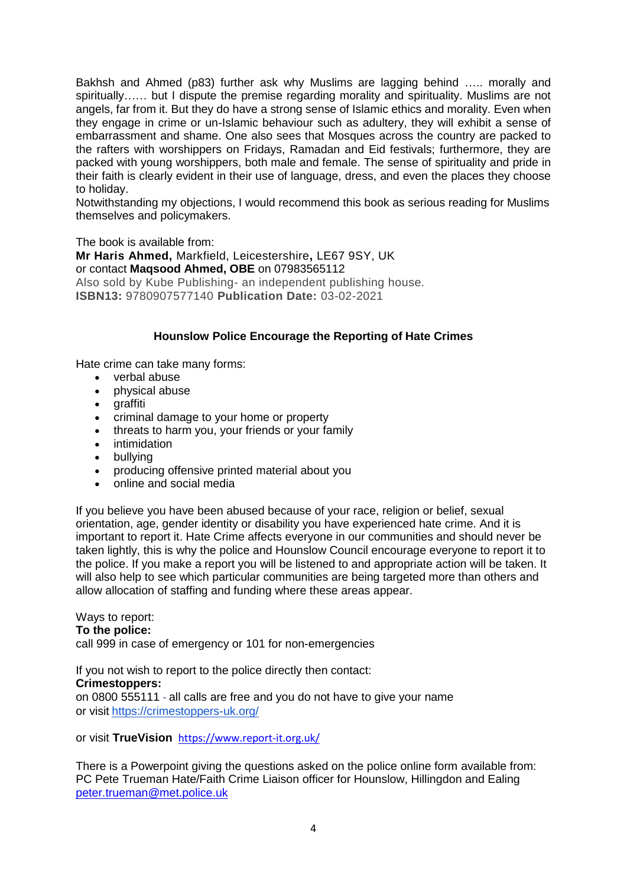Bakhsh and Ahmed (p83) further ask why Muslims are lagging behind ….. morally and spiritually…… but I dispute the premise regarding morality and spirituality. Muslims are not angels, far from it. But they do have a strong sense of Islamic ethics and morality. Even when they engage in crime or un-Islamic behaviour such as adultery, they will exhibit a sense of embarrassment and shame. One also sees that Mosques across the country are packed to the rafters with worshippers on Fridays, Ramadan and Eid festivals; furthermore, they are packed with young worshippers, both male and female. The sense of spirituality and pride in their faith is clearly evident in their use of language, dress, and even the places they choose to holiday.

Notwithstanding my objections, I would recommend this book as serious reading for Muslims themselves and policymakers.

The book is available from: **Mr Haris Ahmed,** Markfield, Leicestershire**,** LE67 9SY, UK or contact **Maqsood Ahmed, OBE** on 07983565112 Also sold by Kube Publishing- an independent publishing house. **ISBN13:** 9780907577140 **Publication Date:** 03-02-2021

#### **Hounslow Police Encourage the Reporting of Hate Crimes**

Hate crime can take many forms:

- verbal abuse
- **physical abuse**
- araffiti
- criminal damage to your home or property
- threats to harm you, your friends or your family
- intimidation
- bullving
- producing offensive printed material about you
- online and social media

If you believe you have been abused because of your race, religion or belief, sexual orientation, age, gender identity or disability you have experienced hate crime. And it is important to report it. Hate Crime affects everyone in our communities and should never be taken lightly, this is why the police and Hounslow Council encourage everyone to report it to the police. If you make a report you will be listened to and appropriate action will be taken. It will also help to see which particular communities are being targeted more than others and allow allocation of staffing and funding where these areas appear.

#### Ways to report:

#### **To the police:**

call 999 in case of emergency or 101 for non-emergencies

If you not wish to report to the police directly then contact: **Crimestoppers:** on 0800 555111 - all calls are free and you do not have to give your name or visit <https://crimestoppers-uk.org/>

or visit **TrueVision** <https://www.report-it.org.uk/>

There is a Powerpoint giving the questions asked on the police online form available from: PC Pete Trueman Hate/Faith Crime Liaison officer for Hounslow, Hillingdon and Ealing [peter.trueman@met.police.uk](mailto:peter.trueman@met.police.uk)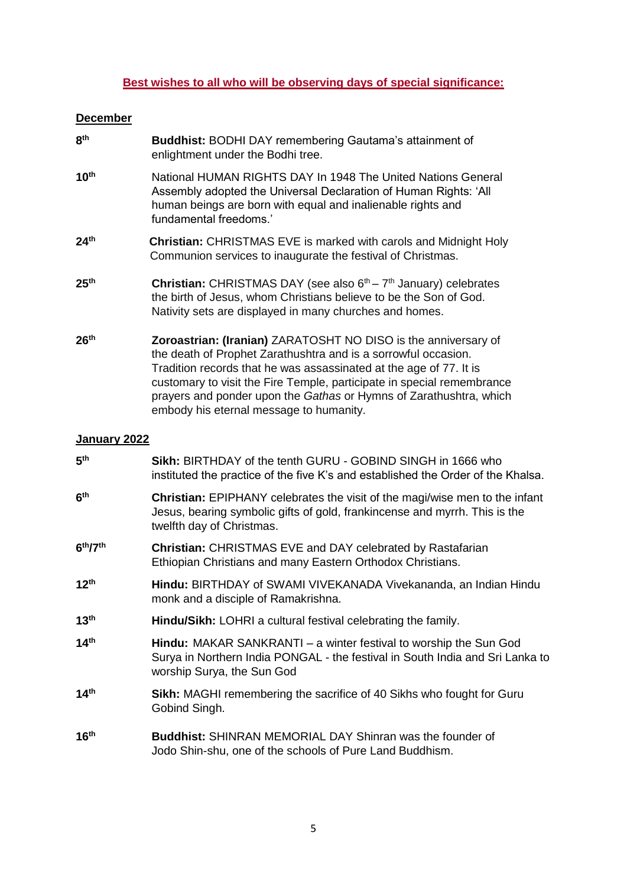#### **Best wishes to all who will be observing days of special significance:**

#### **December**

| 8 <sup>th</sup>  | <b>Buddhist: BODHI DAY remembering Gautama's attainment of</b><br>enlightment under the Bodhi tree.                                                                                                                                                                                                                                                                                               |
|------------------|---------------------------------------------------------------------------------------------------------------------------------------------------------------------------------------------------------------------------------------------------------------------------------------------------------------------------------------------------------------------------------------------------|
| 10 <sup>th</sup> | National HUMAN RIGHTS DAY In 1948 The United Nations General<br>Assembly adopted the Universal Declaration of Human Rights: 'All<br>human beings are born with equal and inalienable rights and<br>fundamental freedoms.'                                                                                                                                                                         |
| 24 <sup>th</sup> | <b>Christian: CHRISTMAS EVE is marked with carols and Midnight Holy</b><br>Communion services to inaugurate the festival of Christmas.                                                                                                                                                                                                                                                            |
| 25 <sup>th</sup> | <b>Christian:</b> CHRISTMAS DAY (see also $6th - 7th$ January) celebrates<br>the birth of Jesus, whom Christians believe to be the Son of God.<br>Nativity sets are displayed in many churches and homes.                                                                                                                                                                                         |
| 26 <sup>th</sup> | Zoroastrian: (Iranian) ZARATOSHT NO DISO is the anniversary of<br>the death of Prophet Zarathushtra and is a sorrowful occasion.<br>Tradition records that he was assassinated at the age of 77. It is<br>customary to visit the Fire Temple, participate in special remembrance<br>prayers and ponder upon the Gathas or Hymns of Zarathushtra, which<br>embody his eternal message to humanity. |

#### **January 2022**

| 5 <sup>th</sup>                  | Sikh: BIRTHDAY of the tenth GURU - GOBIND SINGH in 1666 who<br>instituted the practice of the five K's and established the Order of the Khalsa.                                               |
|----------------------------------|-----------------------------------------------------------------------------------------------------------------------------------------------------------------------------------------------|
| 6 <sup>th</sup>                  | <b>Christian:</b> EPIPHANY celebrates the visit of the magi/wise men to the infant<br>Jesus, bearing symbolic gifts of gold, frankincense and myrrh. This is the<br>twelfth day of Christmas. |
| 6 <sup>th</sup> /7 <sup>th</sup> | <b>Christian: CHRISTMAS EVE and DAY celebrated by Rastafarian</b><br>Ethiopian Christians and many Eastern Orthodox Christians.                                                               |
| 12 <sup>th</sup>                 | Hindu: BIRTHDAY of SWAMI VIVEKANADA Vivekananda, an Indian Hindu<br>monk and a disciple of Ramakrishna.                                                                                       |
| 13 <sup>th</sup>                 | Hindu/Sikh: LOHRI a cultural festival celebrating the family.                                                                                                                                 |
| 14 <sup>th</sup>                 | <b>Hindu:</b> MAKAR SANKRANTI – a winter festival to worship the Sun God<br>Surya in Northern India PONGAL - the festival in South India and Sri Lanka to<br>worship Surya, the Sun God       |
| 14 <sup>th</sup>                 | <b>Sikh:</b> MAGHI remembering the sacrifice of 40 Sikhs who fought for Guru<br>Gobind Singh.                                                                                                 |
| 16 <sup>th</sup>                 | <b>Buddhist: SHINRAN MEMORIAL DAY Shinran was the founder of</b><br>Jodo Shin-shu, one of the schools of Pure Land Buddhism.                                                                  |